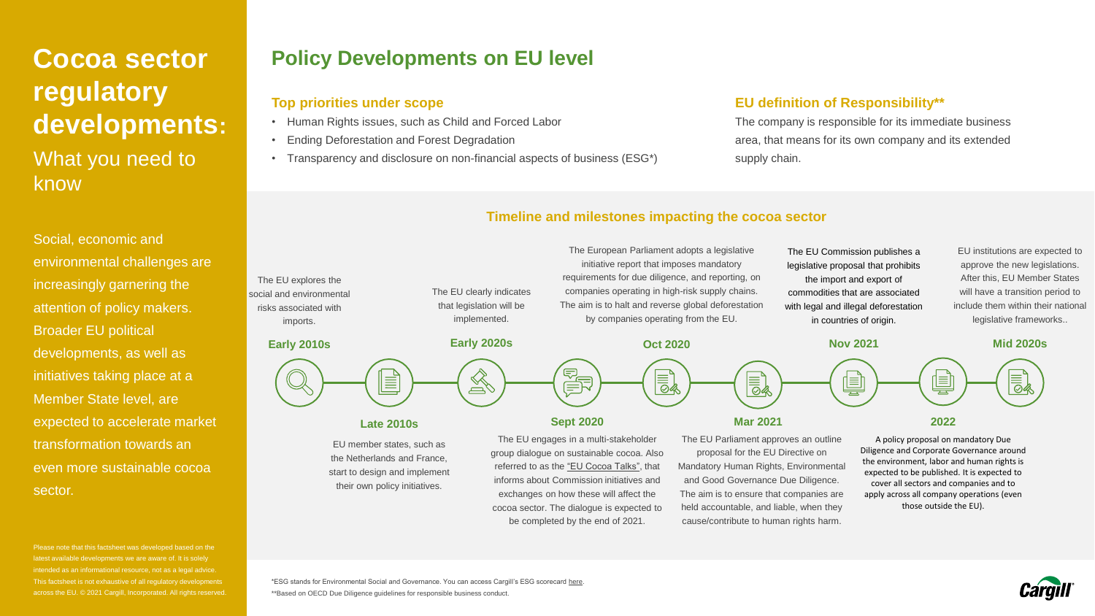# **Cocoa sector regulatory developments:**  What you need to know

Social, economic and environmental challenges are increasingly garnering the attention of policy makers. Broader EU political developments, as well as initiatives taking place at a Member State level, are expected to accelerate market transformation towards an even more sustainable cocoa sector.

Please note that this factsheet was developed based on the latest available developments we are aware of. It is solely intended as an informational resource, not as a legal advice. This factsheet is not exhaustive of all regulatory developments across the EU. © 2021 Cargill, Incorporated. All rights reserved.

## **Policy Developments on EU level**

### **Top priorities under scope**

- Human Rights issues, such as Child and Forced Labor
- Ending Deforestation and Forest Degradation
- Transparency and disclosure on non-financial aspects of business (ESG\*)

### **EU definition of Responsibility\*\***

The company is responsible for its immediate business area, that means for its own company and its extended supply chain.

### **Timeline and milestones impacting the cocoa sector**



\*ESG stands for Environmental Social and Governance. You can access Cargill's ESG scorecard [here.](https://www.cargill.com/sustainability/esg-scorecard) \*\*Based on OECD Due Diligence guidelines for responsible business conduct.

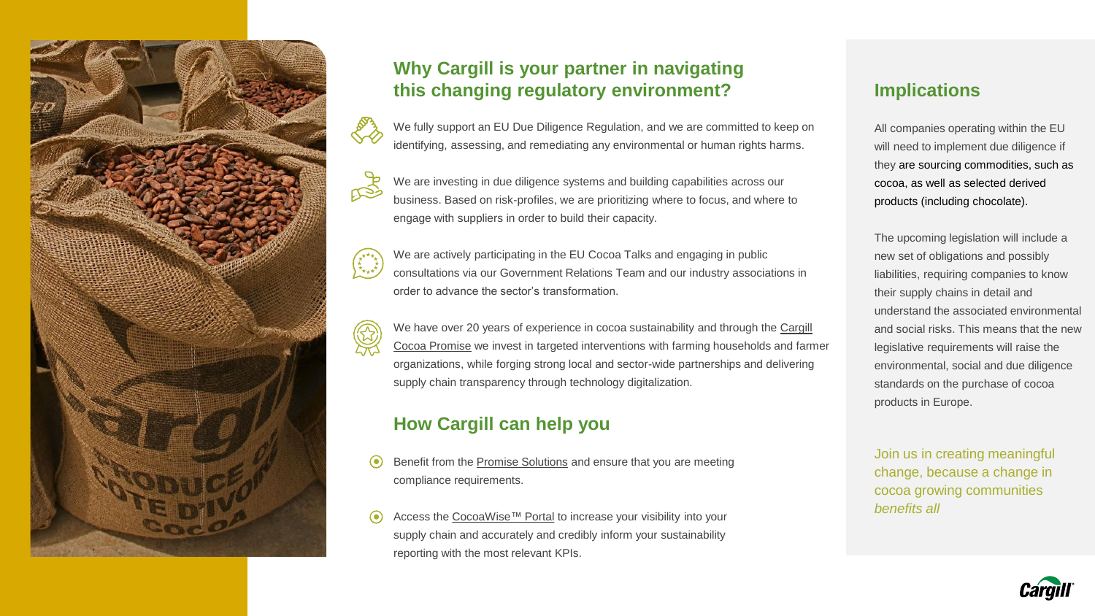

## **Why Cargill is your partner in navigating this changing regulatory environment?**

We fully support an EU Due Diligence Regulation, and we are committed to keep on identifying, assessing, and remediating any environmental or human rights harms.

**RAP** We are investing in due diligence systems and building capabilities across our business. Based on risk-profiles, we are prioritizing where to focus, and where to engage with suppliers in order to build their capacity.

We are actively participating in the EU Cocoa Talks and engaging in public consultations via our Government Relations Team and our industry associations in order to advance the sector's transformation.

[We have over 20 years of experience in cocoa sustainability and through the Cargill](https://www.cargill.com/sustainability/cocoa/our-approach) Cocoa Promise we invest in targeted interventions with farming households and farmer organizations, while forging strong local and sector-wide partnerships and delivering supply chain transparency through technology digitalization.

### **How Cargill can help you**

- Benefit from the [Promise Solutions](https://www.cargill.com/sustainability/cocoa/change-for-cocoa-communities) and ensure that you are meeting compliance requirements.
- Access the [CocoaWise™](https://www.cargill.com/sustainability/cocoa/cocoawise-portal) Portal to increase your visibility into your supply chain and accurately and credibly inform your sustainability reporting with the most relevant KPIs.

### **Implications**

All companies operating within the EU will need to implement due diligence if they are sourcing commodities, such as cocoa, as well as selected derived products (including chocolate).

The upcoming legislation will include a new set of obligations and possibly liabilities, requiring companies to know their supply chains in detail and understand the associated environmental and social risks. This means that the new legislative requirements will raise the environmental, social and due diligence standards on the purchase of cocoa products in Europe.

Join us in creating meaningful change, because a change in cocoa growing communities *benefits all*

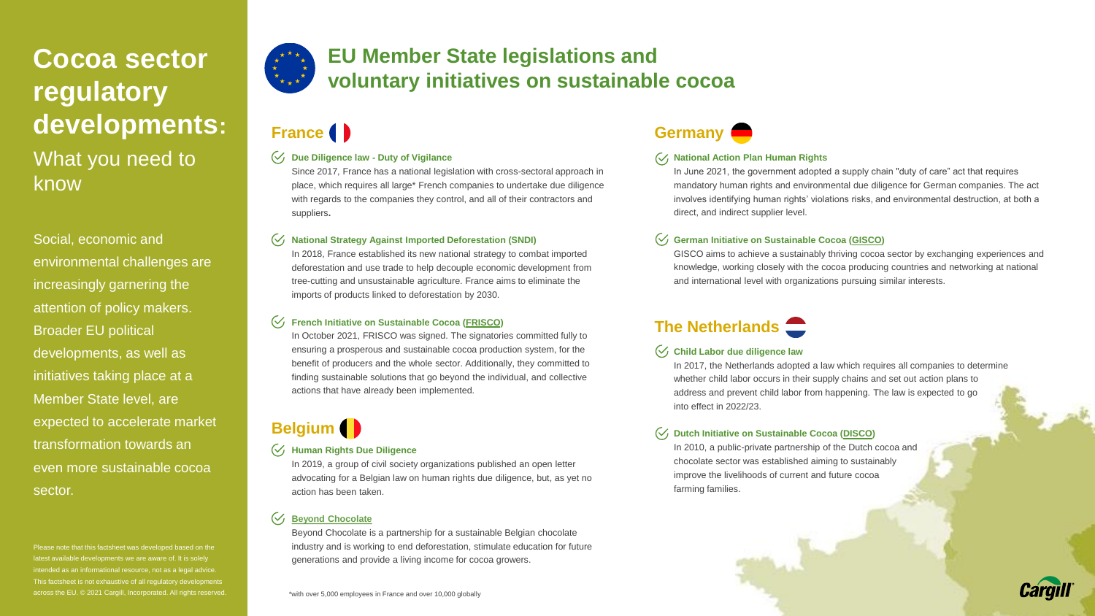# **Cocoa sector regulatory developments:**  What you need to know

Social, economic and environmental challenges are increasingly garnering the attention of policy makers. Broader EU political developments, as well as initiatives taking place at a Member State level, are expected to accelerate market transformation towards an even more sustainable cocoa sector.

Please note that this factsheet was developed based on the ble developments we are aware of. It is solely intended as an informational resource, not as a legal advice. This factsheet is not exhaustive of all regulatory developments across the EU. © 2021 Cargill, Incorporated. All rights reserved.



## **EU Member State legislations and voluntary initiatives on sustainable cocoa**

### **France**

#### **Due Diligence law - Duty of Vigilance**

Since 2017, France has a national legislation with cross-sectoral approach in place, which requires all large\* French companies to undertake due diligence with regards to the companies they control, and all of their contractors and suppliers**.**

#### **National Strategy Against Imported Deforestation (SNDI)**

In 2018, France established its new national strategy to combat imported deforestation and use trade to help decouple economic development from tree-cutting and unsustainable agriculture. France aims to eliminate the imports of products linked to deforestation by 2030.

#### **French Initiative on Sustainable Cocoa [\(FRISCO\)](https://www.comunicaffe.com/french-sustainable-cocoa-initiative-to-adopt-a-plan-of-action-by-1-march-2022)**

In October 2021, FRISCO was signed. The signatories committed fully to ensuring a prosperous and sustainable cocoa production system, for the benefit of producers and the whole sector. Additionally, they committed to finding sustainable solutions that go beyond the individual, and collective actions that have already been implemented.

## **Belgium**

#### **Human Rights Due Diligence**

In 2019, a group of civil society organizations published an open letter advocating for a Belgian law on human rights due diligence, but, as yet no action has been taken.

### **[Beyond Chocolate](https://www.idhsustainabletrade.com/initiative/beyondchocolate/)**

Beyond Chocolate is a partnership for a sustainable Belgian chocolate industry and is working to end deforestation, stimulate education for future generations and provide a living income for cocoa growers.

#### \*with over 5,000 employees in France and over 10,000 globally



#### **National Action Plan Human Rights**

In June 2021, the government adopted a supply chain "duty of care" act that requires mandatory human rights and environmental due diligence for German companies. The act involves identifying human rights' violations risks, and environmental destruction, at both a direct, and indirect supplier level.

#### **German Initiative on Sustainable Cocoa ([GISCO\)](https://www.idhsustainabletrade.com/initiative/dutch-initiative-on-sustainable-cocoa-disco/)**

GISCO aims to achieve a sustainably thriving cocoa sector by exchanging experiences and knowledge, working closely with the cocoa producing countries and networking at national and international level with organizations pursuing similar interests.

## **The Netherlands**

#### **Child Labor due diligence law**

In 2017, the Netherlands adopted a law which requires all companies to determine whether child labor occurs in their supply chains and set out action plans to address and prevent child labor from happening. The law is expected to go into effect in 2022/23.

#### **Dutch Initiative on Sustainable Cocoa [\(DISCO\)](https://www.idhsustainabletrade.com/initiative/dutch-initiative-on-sustainable-cocoa-disco/)**

In 2010, a public-private partnership of the Dutch cocoa and chocolate sector was established aiming to sustainably improve the livelihoods of current and future cocoa farming families.